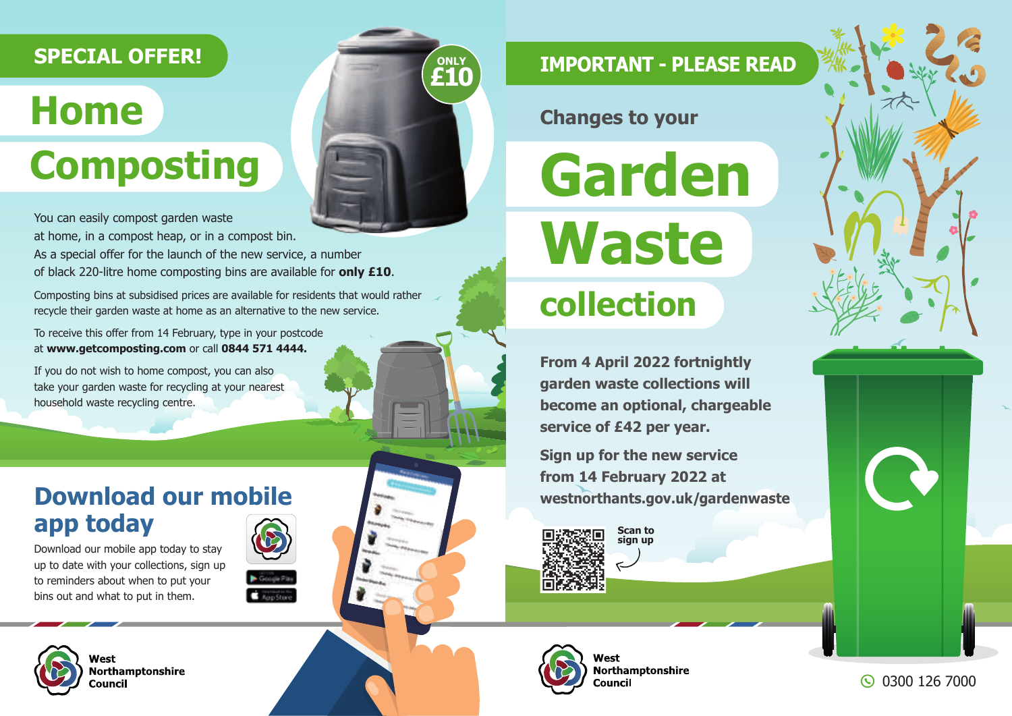## **SPECIAL OFFER!**

# **Home Composting**



You can easily compost garden waste

at home, in a compost heap, or in a compost bin. As a special offer for the launch of the new service, a number of black 220-litre home composting bins are available for **only £10**.

Composting bins at subsidised prices are available for residents that would rather recycle their garden waste at home as an alternative to the new service.

To receive this offer from 14 February, type in your postcode at **www.getcomposting.com** or call **0844 571 4444.**

If you do not wish to home compost, you can also take your garden waste for recycling at your nearest household waste recycling centre.

## **Download our mobile app today**

Download our mobile app today to stay up to date with your collections, sign up to reminders about when to put your bins out and what to put in them.





Northamptonshire

## **IMPORTANT - PLEASE READ**

**Changes to your**

**Garden Waste**

## **collection**

**From 4 April 2022 fortnightly garden waste collections will become an optional, chargeable service of £42 per year.**

**Sign up for the new service from 14 February 2022 at westnorthants.gov.uk/gardenwaste**



**Scan to sign up**



**Northamptonshire** Council



0300 126 7000